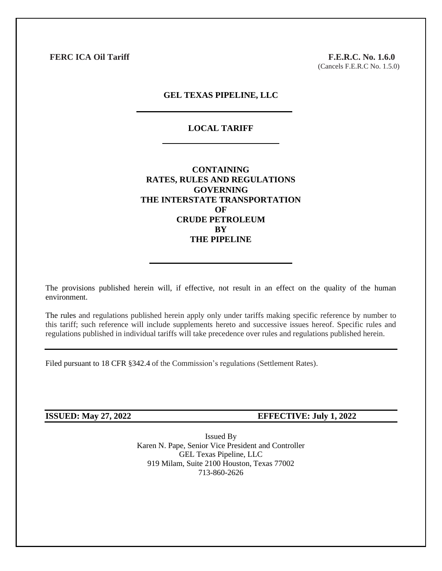**FERC ICA Oil Tariff** F.E.R.C. No. 1.6.0

(Cancels F.E.R.C No. 1.5.0)

### **GEL TEXAS PIPELINE, LLC**

# **LOCAL TARIFF**

**CONTAINING RATES, RULES AND REGULATIONS GOVERNING THE INTERSTATE TRANSPORTATION OF CRUDE PETROLEUM BY THE PIPELINE**

The provisions published herein will, if effective, not result in an effect on the quality of the human environment.

The rules and regulations published herein apply only under tariffs making specific reference by number to this tariff; such reference will include supplements hereto and successive issues hereof. Specific rules and regulations published in individual tariffs will take precedence over rules and regulations published herein.

Filed pursuant to 18 CFR §342.4 of the Commission's regulations (Settlement Rates).

## **ISSUED: May 27, 2022 EFFECTIVE: July 1, 2022**

Issued By Karen N. Pape, Senior Vice President and Controller GEL Texas Pipeline, LLC 919 Milam, Suite 2100 Houston, Texas 77002 713-860-2626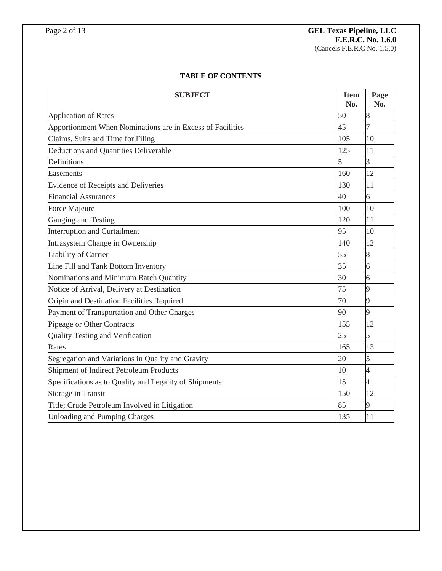# **TABLE OF CONTENTS**

| <b>SUBJECT</b>                                             | <b>Item</b><br>No. | Page<br>No.    |
|------------------------------------------------------------|--------------------|----------------|
| <b>Application of Rates</b>                                | 50                 | 8              |
| Apportionment When Nominations are in Excess of Facilities | 45                 |                |
| Claims, Suits and Time for Filing                          | 105                | 10             |
| Deductions and Quantities Deliverable                      | 125                | 11             |
| Definitions                                                | 5                  | 3              |
| Easements                                                  | 160                | 12             |
| Evidence of Receipts and Deliveries                        | 130                | 11             |
| <b>Financial Assurances</b>                                | 40                 | 6              |
| Force Majeure                                              | 100                | 10             |
| Gauging and Testing                                        | 120                | 11             |
| <b>Interruption and Curtailment</b>                        | 95                 | 10             |
| Intrasystem Change in Ownership                            | 140                | 12             |
| Liability of Carrier                                       | 55                 | 8              |
| Line Fill and Tank Bottom Inventory                        |                    | 6              |
| Nominations and Minimum Batch Quantity                     | 30                 | 6              |
| Notice of Arrival, Delivery at Destination                 | 75                 | 9              |
| Origin and Destination Facilities Required                 | 70                 | 9              |
| Payment of Transportation and Other Charges                | 90                 | 9              |
| Pipeage or Other Contracts                                 | 155                | 12             |
| Quality Testing and Verification                           | 25                 | 5              |
| Rates                                                      | 165                | 13             |
| Segregation and Variations in Quality and Gravity          | 20                 | 5              |
| Shipment of Indirect Petroleum Products                    | 10                 | $\overline{4}$ |
| Specifications as to Quality and Legality of Shipments     | 15                 | 4              |
| <b>Storage in Transit</b>                                  | 150                | 12             |
| Title; Crude Petroleum Involved in Litigation              | 85                 | 9              |
| <b>Unloading and Pumping Charges</b>                       | 135                | 11             |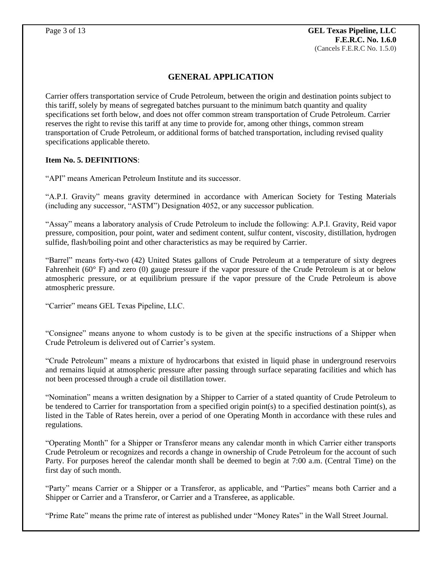# **GENERAL APPLICATION**

Carrier offers transportation service of Crude Petroleum, between the origin and destination points subject to this tariff, solely by means of segregated batches pursuant to the minimum batch quantity and quality specifications set forth below, and does not offer common stream transportation of Crude Petroleum. Carrier reserves the right to revise this tariff at any time to provide for, among other things, common stream transportation of Crude Petroleum, or additional forms of batched transportation, including revised quality specifications applicable thereto.

# **Item No. 5. DEFINITIONS**:

"API" means American Petroleum Institute and its successor.

"A.P.I. Gravity" means gravity determined in accordance with American Society for Testing Materials (including any successor, "ASTM") Designation 4052, or any successor publication.

"Assay" means a laboratory analysis of Crude Petroleum to include the following: A.P.I. Gravity, Reid vapor pressure, composition, pour point, water and sediment content, sulfur content, viscosity, distillation, hydrogen sulfide, flash/boiling point and other characteristics as may be required by Carrier.

"Barrel" means forty-two (42) United States gallons of Crude Petroleum at a temperature of sixty degrees Fahrenheit (60° F) and zero (0) gauge pressure if the vapor pressure of the Crude Petroleum is at or below atmospheric pressure, or at equilibrium pressure if the vapor pressure of the Crude Petroleum is above atmospheric pressure.

"Carrier" means GEL Texas Pipeline, LLC.

"Consignee" means anyone to whom custody is to be given at the specific instructions of a Shipper when Crude Petroleum is delivered out of Carrier's system.

"Crude Petroleum" means a mixture of hydrocarbons that existed in liquid phase in underground reservoirs and remains liquid at atmospheric pressure after passing through surface separating facilities and which has not been processed through a crude oil distillation tower.

"Nomination" means a written designation by a Shipper to Carrier of a stated quantity of Crude Petroleum to be tendered to Carrier for transportation from a specified origin point(s) to a specified destination point(s), as listed in the Table of Rates herein, over a period of one Operating Month in accordance with these rules and regulations.

"Operating Month" for a Shipper or Transferor means any calendar month in which Carrier either transports Crude Petroleum or recognizes and records a change in ownership of Crude Petroleum for the account of such Party. For purposes hereof the calendar month shall be deemed to begin at 7:00 a.m. (Central Time) on the first day of such month.

"Party" means Carrier or a Shipper or a Transferor, as applicable, and "Parties" means both Carrier and a Shipper or Carrier and a Transferor, or Carrier and a Transferee, as applicable.

"Prime Rate" means the prime rate of interest as published under "Money Rates" in the Wall Street Journal.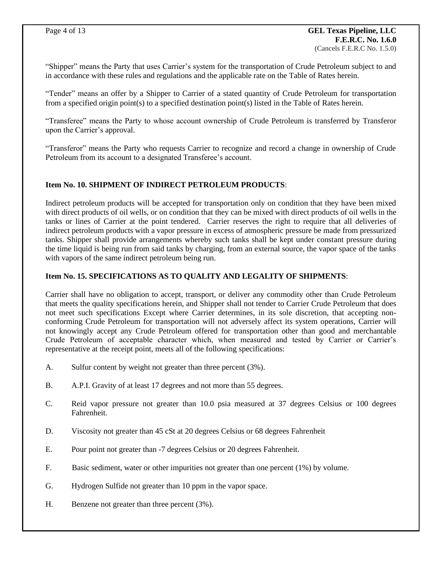"Shipper" means the Party that uses Carrier's system for the transportation of Crude Petroleum subject to and in accordance with these rules and regulations and the applicable rate on the Table of Rates herein.

"Tender" means an offer by a Shipper to Carrier of a stated quantity of Crude Petroleum for transportation from a specified origin point(s) to a specified destination point(s) listed in the Table of Rates herein.

"Transferee" means the Party to whose account ownership of Crude Petroleum is transferred by Transferor upon the Carrier's approval.

"Transferor" means the Party who requests Carrier to recognize and record a change in ownership of Crude Petroleum from its account to a designated Transferee's account.

# **Item No. 10. SHIPMENT OF INDIRECT PETROLEUM PRODUCTS**:

Indirect petroleum products will be accepted for transportation only on condition that they have been mixed with direct products of oil wells, or on condition that they can be mixed with direct products of oil wells in the tanks or lines of Carrier at the point tendered. Carrier reserves the right to require that all deliveries of indirect petroleum products with a vapor pressure in excess of atmospheric pressure be made from pressurized tanks. Shipper shall provide arrangements whereby such tanks shall be kept under constant pressure during the time liquid is being run from said tanks by charging, from an external source, the vapor space of the tanks with vapors of the same indirect petroleum being run.

# **Item No. 15. SPECIFICATIONS AS TO QUALITY AND LEGALITY OF SHIPMENTS**:

Carrier shall have no obligation to accept, transport, or deliver any commodity other than Crude Petroleum that meets the quality specifications herein, and Shipper shall not tender to Carrier Crude Petroleum that does not meet such specifications Except where Carrier determines, in its sole discretion, that accepting nonconforming Crude Petroleum for transportation will not adversely affect its system operations, Carrier will not knowingly accept any Crude Petroleum offered for transportation other than good and merchantable Crude Petroleum of acceptable character which, when measured and tested by Carrier or Carrier's representative at the receipt point, meets all of the following specifications:

- A. Sulfur content by weight not greater than three percent (3%).
- B. A.P.I. Gravity of at least 17 degrees and not more than 55 degrees.
- C. Reid vapor pressure not greater than 10.0 psia measured at 37 degrees Celsius or 100 degrees Fahrenheit.
- D. Viscosity not greater than 45 cSt at 20 degrees Celsius or 68 degrees Fahrenheit
- E. Pour point not greater than -7 degrees Celsius or 20 degrees Fahrenheit.
- F. Basic sediment, water or other impurities not greater than one percent (1%) by volume.
- G. Hydrogen Sulfide not greater than 10 ppm in the vapor space.
- H. Benzene not greater than three percent (3%).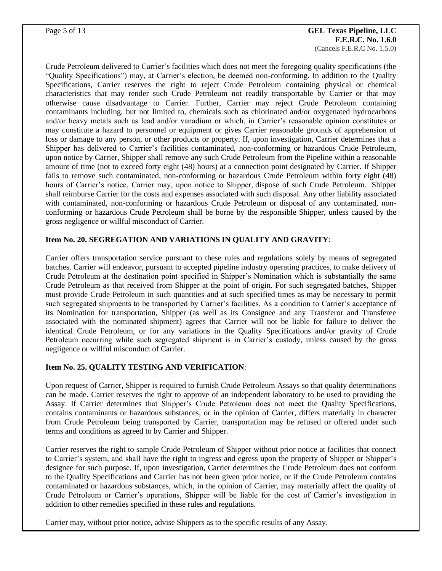#### Page 5 of 13 **GEL Texas Pipeline, LLC F.E.R.C. No. 1.6.0** (Cancels F.E.R.C No. 1.5.0)

Crude Petroleum delivered to Carrier's facilities which does not meet the foregoing quality specifications (the "Quality Specifications") may, at Carrier's election, be deemed non-conforming. In addition to the Quality Specifications, Carrier reserves the right to reject Crude Petroleum containing physical or chemical characteristics that may render such Crude Petroleum not readily transportable by Carrier or that may otherwise cause disadvantage to Carrier. Further, Carrier may reject Crude Petroleum containing contaminants including, but not limited to, chemicals such as chlorinated and/or oxygenated hydrocarbons and/or heavy metals such as lead and/or vanadium or which, in Carrier's reasonable opinion constitutes or may constitute a hazard to personnel or equipment or gives Carrier reasonable grounds of apprehension of loss or damage to any person, or other products or property. If, upon investigation, Carrier determines that a Shipper has delivered to Carrier's facilities contaminated, non-conforming or hazardous Crude Petroleum, upon notice by Carrier, Shipper shall remove any such Crude Petroleum from the Pipeline within a reasonable amount of time (not to exceed forty eight (48) hours) at a connection point designated by Carrier. If Shipper fails to remove such contaminated, non-conforming or hazardous Crude Petroleum within forty eight (48) hours of Carrier's notice, Carrier may, upon notice to Shipper, dispose of such Crude Petroleum. Shipper shall reimburse Carrier for the costs and expenses associated with such disposal. Any other liability associated with contaminated, non-conforming or hazardous Crude Petroleum or disposal of any contaminated, nonconforming or hazardous Crude Petroleum shall be borne by the responsible Shipper, unless caused by the gross negligence or willful misconduct of Carrier.

# **Item No. 20. SEGREGATION AND VARIATIONS IN QUALITY AND GRAVITY**:

Carrier offers transportation service pursuant to these rules and regulations solely by means of segregated batches. Carrier will endeavor, pursuant to accepted pipeline industry operating practices, to make delivery of Crude Petroleum at the destination point specified in Shipper's Nomination which is substantially the same Crude Petroleum as that received from Shipper at the point of origin. For such segregated batches, Shipper must provide Crude Petroleum in such quantities and at such specified times as may be necessary to permit such segregated shipments to be transported by Carrier's facilities. As a condition to Carrier's acceptance of its Nomination for transportation, Shipper (as well as its Consignee and any Transferor and Transferee associated with the nominated shipment) agrees that Carrier will not be liable for failure to deliver the identical Crude Petroleum, or for any variations in the Quality Specifications and/or gravity of Crude Petroleum occurring while such segregated shipment is in Carrier's custody, unless caused by the gross negligence or willful misconduct of Carrier.

# **Item No. 25. QUALITY TESTING AND VERIFICATION**:

Upon request of Carrier, Shipper is required to furnish Crude Petroleum Assays so that quality determinations can be made. Carrier reserves the right to approve of an independent laboratory to be used to providing the Assay. If Carrier determines that Shipper's Crude Petroleum does not meet the Quality Specifications, contains contaminants or hazardous substances, or in the opinion of Carrier, differs materially in character from Crude Petroleum being transported by Carrier, transportation may be refused or offered under such terms and conditions as agreed to by Carrier and Shipper.

Carrier reserves the right to sample Crude Petroleum of Shipper without prior notice at facilities that connect to Carrier's system, and shall have the right to ingress and egress upon the property of Shipper or Shipper's designee for such purpose. If, upon investigation, Carrier determines the Crude Petroleum does not conform to the Quality Specifications and Carrier has not been given prior notice, or if the Crude Petroleum contains contaminated or hazardous substances, which, in the opinion of Carrier, may materially affect the quality of Crude Petroleum or Carrier's operations, Shipper will be liable for the cost of Carrier's investigation in addition to other remedies specified in these rules and regulations.

Carrier may, without prior notice, advise Shippers as to the specific results of any Assay.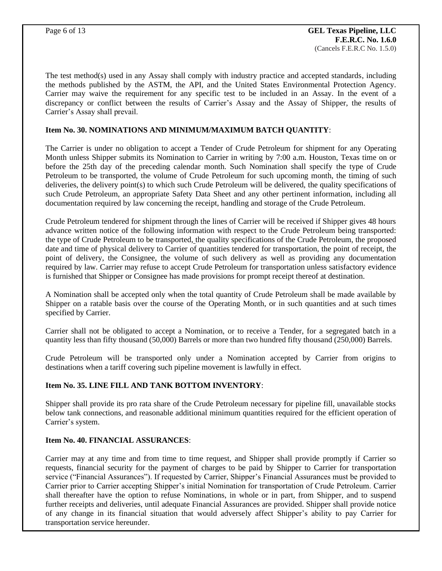The test method(s) used in any Assay shall comply with industry practice and accepted standards, including the methods published by the ASTM, the API, and the United States Environmental Protection Agency. Carrier may waive the requirement for any specific test to be included in an Assay. In the event of a discrepancy or conflict between the results of Carrier's Assay and the Assay of Shipper, the results of Carrier's Assay shall prevail.

### **Item No. 30. NOMINATIONS AND MINIMUM/MAXIMUM BATCH QUANTITY**:

The Carrier is under no obligation to accept a Tender of Crude Petroleum for shipment for any Operating Month unless Shipper submits its Nomination to Carrier in writing by 7:00 a.m. Houston, Texas time on or before the 25th day of the preceding calendar month. Such Nomination shall specify the type of Crude Petroleum to be transported, the volume of Crude Petroleum for such upcoming month, the timing of such deliveries, the delivery point(s) to which such Crude Petroleum will be delivered, the quality specifications of such Crude Petroleum, an appropriate Safety Data Sheet and any other pertinent information, including all documentation required by law concerning the receipt, handling and storage of the Crude Petroleum.

Crude Petroleum tendered for shipment through the lines of Carrier will be received if Shipper gives 48 hours advance written notice of the following information with respect to the Crude Petroleum being transported: the type of Crude Petroleum to be transported, the quality specifications of the Crude Petroleum, the proposed date and time of physical delivery to Carrier of quantities tendered for transportation, the point of receipt, the point of delivery, the Consignee, the volume of such delivery as well as providing any documentation required by law. Carrier may refuse to accept Crude Petroleum for transportation unless satisfactory evidence is furnished that Shipper or Consignee has made provisions for prompt receipt thereof at destination.

A Nomination shall be accepted only when the total quantity of Crude Petroleum shall be made available by Shipper on a ratable basis over the course of the Operating Month, or in such quantities and at such times specified by Carrier.

Carrier shall not be obligated to accept a Nomination, or to receive a Tender, for a segregated batch in a quantity less than fifty thousand (50,000) Barrels or more than two hundred fifty thousand (250,000) Barrels.

Crude Petroleum will be transported only under a Nomination accepted by Carrier from origins to destinations when a tariff covering such pipeline movement is lawfully in effect.

#### **Item No. 35. LINE FILL AND TANK BOTTOM INVENTORY**:

Shipper shall provide its pro rata share of the Crude Petroleum necessary for pipeline fill, unavailable stocks below tank connections, and reasonable additional minimum quantities required for the efficient operation of Carrier's system.

## **Item No. 40. FINANCIAL ASSURANCES**:

Carrier may at any time and from time to time request, and Shipper shall provide promptly if Carrier so requests, financial security for the payment of charges to be paid by Shipper to Carrier for transportation service ("Financial Assurances"). If requested by Carrier, Shipper's Financial Assurances must be provided to Carrier prior to Carrier accepting Shipper's initial Nomination for transportation of Crude Petroleum. Carrier shall thereafter have the option to refuse Nominations, in whole or in part, from Shipper, and to suspend further receipts and deliveries, until adequate Financial Assurances are provided. Shipper shall provide notice of any change in its financial situation that would adversely affect Shipper's ability to pay Carrier for transportation service hereunder.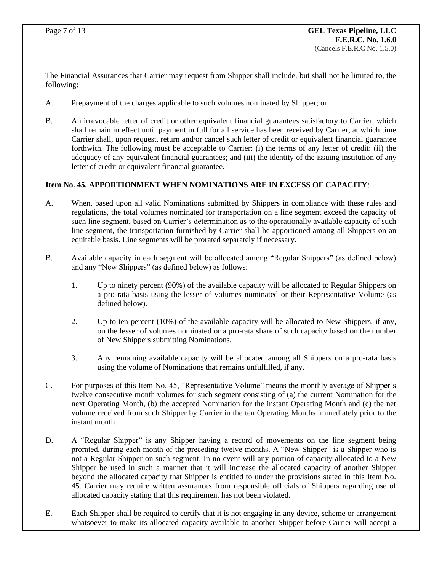The Financial Assurances that Carrier may request from Shipper shall include, but shall not be limited to, the following:

- A. Prepayment of the charges applicable to such volumes nominated by Shipper; or
- B. An irrevocable letter of credit or other equivalent financial guarantees satisfactory to Carrier, which shall remain in effect until payment in full for all service has been received by Carrier, at which time Carrier shall, upon request, return and/or cancel such letter of credit or equivalent financial guarantee forthwith. The following must be acceptable to Carrier: (i) the terms of any letter of credit; (ii) the adequacy of any equivalent financial guarantees; and (iii) the identity of the issuing institution of any letter of credit or equivalent financial guarantee.

# **Item No. 45. APPORTIONMENT WHEN NOMINATIONS ARE IN EXCESS OF CAPACITY**:

- A. When, based upon all valid Nominations submitted by Shippers in compliance with these rules and regulations, the total volumes nominated for transportation on a line segment exceed the capacity of such line segment, based on Carrier's determination as to the operationally available capacity of such line segment, the transportation furnished by Carrier shall be apportioned among all Shippers on an equitable basis. Line segments will be prorated separately if necessary.
- B. Available capacity in each segment will be allocated among "Regular Shippers" (as defined below) and any "New Shippers" (as defined below) as follows:
	- 1. Up to ninety percent (90%) of the available capacity will be allocated to Regular Shippers on a pro-rata basis using the lesser of volumes nominated or their Representative Volume (as defined below).
	- 2. Up to ten percent (10%) of the available capacity will be allocated to New Shippers, if any, on the lesser of volumes nominated or a pro-rata share of such capacity based on the number of New Shippers submitting Nominations.
	- 3. Any remaining available capacity will be allocated among all Shippers on a pro-rata basis using the volume of Nominations that remains unfulfilled, if any.
- C. For purposes of this Item No. 45, "Representative Volume" means the monthly average of Shipper's twelve consecutive month volumes for such segment consisting of (a) the current Nomination for the next Operating Month, (b) the accepted Nomination for the instant Operating Month and (c) the net volume received from such Shipper by Carrier in the ten Operating Months immediately prior to the instant month.
- D. A "Regular Shipper" is any Shipper having a record of movements on the line segment being prorated, during each month of the preceding twelve months. A "New Shipper" is a Shipper who is not a Regular Shipper on such segment. In no event will any portion of capacity allocated to a New Shipper be used in such a manner that it will increase the allocated capacity of another Shipper beyond the allocated capacity that Shipper is entitled to under the provisions stated in this Item No. 45. Carrier may require written assurances from responsible officials of Shippers regarding use of allocated capacity stating that this requirement has not been violated.
- E. Each Shipper shall be required to certify that it is not engaging in any device, scheme or arrangement whatsoever to make its allocated capacity available to another Shipper before Carrier will accept a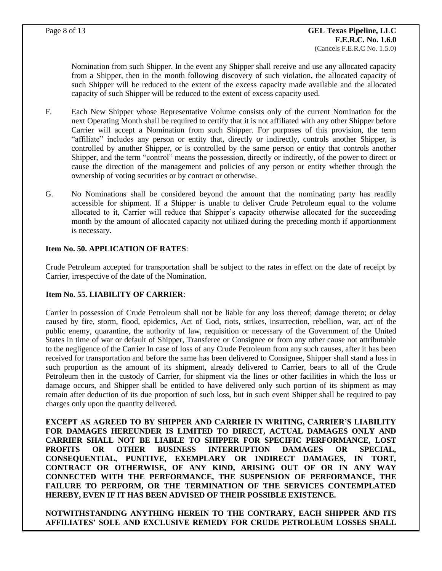Nomination from such Shipper. In the event any Shipper shall receive and use any allocated capacity from a Shipper, then in the month following discovery of such violation, the allocated capacity of such Shipper will be reduced to the extent of the excess capacity made available and the allocated capacity of such Shipper will be reduced to the extent of excess capacity used.

- F. Each New Shipper whose Representative Volume consists only of the current Nomination for the next Operating Month shall be required to certify that it is not affiliated with any other Shipper before Carrier will accept a Nomination from such Shipper. For purposes of this provision, the term "affiliate" includes any person or entity that, directly or indirectly, controls another Shipper, is controlled by another Shipper, or is controlled by the same person or entity that controls another Shipper, and the term "control" means the possession, directly or indirectly, of the power to direct or cause the direction of the management and policies of any person or entity whether through the ownership of voting securities or by contract or otherwise.
- G. No Nominations shall be considered beyond the amount that the nominating party has readily accessible for shipment. If a Shipper is unable to deliver Crude Petroleum equal to the volume allocated to it, Carrier will reduce that Shipper's capacity otherwise allocated for the succeeding month by the amount of allocated capacity not utilized during the preceding month if apportionment is necessary.

# **Item No. 50. APPLICATION OF RATES**:

Crude Petroleum accepted for transportation shall be subject to the rates in effect on the date of receipt by Carrier, irrespective of the date of the Nomination.

# **Item No. 55. LIABILITY OF CARRIER**:

Carrier in possession of Crude Petroleum shall not be liable for any loss thereof; damage thereto; or delay caused by fire, storm, flood, epidemics, Act of God, riots, strikes, insurrection, rebellion, war, act of the public enemy, quarantine, the authority of law, requisition or necessary of the Government of the United States in time of war or default of Shipper, Transferee or Consignee or from any other cause not attributable to the negligence of the Carrier In case of loss of any Crude Petroleum from any such causes, after it has been received for transportation and before the same has been delivered to Consignee, Shipper shall stand a loss in such proportion as the amount of its shipment, already delivered to Carrier, bears to all of the Crude Petroleum then in the custody of Carrier, for shipment via the lines or other facilities in which the loss or damage occurs, and Shipper shall be entitled to have delivered only such portion of its shipment as may remain after deduction of its due proportion of such loss, but in such event Shipper shall be required to pay charges only upon the quantity delivered.

**EXCEPT AS AGREED TO BY SHIPPER AND CARRIER IN WRITING, CARRIER'S LIABILITY FOR DAMAGES HEREUNDER IS LIMITED TO DIRECT, ACTUAL DAMAGES ONLY AND CARRIER SHALL NOT BE LIABLE TO SHIPPER FOR SPECIFIC PERFORMANCE, LOST PROFITS OR OTHER BUSINESS INTERRUPTION DAMAGES OR SPECIAL, CONSEQUENTIAL, PUNITIVE, EXEMPLARY OR INDIRECT DAMAGES, IN TORT, CONTRACT OR OTHERWISE, OF ANY KIND, ARISING OUT OF OR IN ANY WAY CONNECTED WITH THE PERFORMANCE, THE SUSPENSION OF PERFORMANCE, THE FAILURE TO PERFORM, OR THE TERMINATION OF THE SERVICES CONTEMPLATED HEREBY, EVEN IF IT HAS BEEN ADVISED OF THEIR POSSIBLE EXISTENCE.** 

**NOTWITHSTANDING ANYTHING HEREIN TO THE CONTRARY, EACH SHIPPER AND ITS AFFILIATES' SOLE AND EXCLUSIVE REMEDY FOR CRUDE PETROLEUM LOSSES SHALL**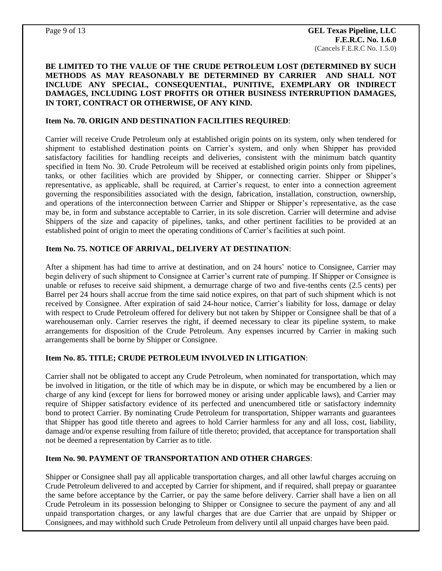## **BE LIMITED TO THE VALUE OF THE CRUDE PETROLEUM LOST (DETERMINED BY SUCH METHODS AS MAY REASONABLY BE DETERMINED BY CARRIER AND SHALL NOT INCLUDE ANY SPECIAL, CONSEQUENTIAL, PUNITIVE, EXEMPLARY OR INDIRECT DAMAGES, INCLUDING LOST PROFITS OR OTHER BUSINESS INTERRUPTION DAMAGES, IN TORT, CONTRACT OR OTHERWISE, OF ANY KIND.**

#### **Item No. 70. ORIGIN AND DESTINATION FACILITIES REQUIRED**:

Carrier will receive Crude Petroleum only at established origin points on its system, only when tendered for shipment to established destination points on Carrier's system, and only when Shipper has provided satisfactory facilities for handling receipts and deliveries, consistent with the minimum batch quantity specified in Item No. 30. Crude Petroleum will be received at established origin points only from pipelines, tanks, or other facilities which are provided by Shipper, or connecting carrier. Shipper or Shipper's representative, as applicable, shall be required, at Carrier's request, to enter into a connection agreement governing the responsibilities associated with the design, fabrication, installation, construction, ownership, and operations of the interconnection between Carrier and Shipper or Shipper's representative, as the case may be, in form and substance acceptable to Carrier, in its sole discretion. Carrier will determine and advise Shippers of the size and capacity of pipelines, tanks, and other pertinent facilities to be provided at an established point of origin to meet the operating conditions of Carrier's facilities at such point.

#### **Item No. 75. NOTICE OF ARRIVAL, DELIVERY AT DESTINATION**:

After a shipment has had time to arrive at destination, and on 24 hours' notice to Consignee, Carrier may begin delivery of such shipment to Consignee at Carrier's current rate of pumping. If Shipper or Consignee is unable or refuses to receive said shipment, a demurrage charge of two and five-tenths cents (2.5 cents) per Barrel per 24 hours shall accrue from the time said notice expires, on that part of such shipment which is not received by Consignee. After expiration of said 24-hour notice, Carrier's liability for loss, damage or delay with respect to Crude Petroleum offered for delivery but not taken by Shipper or Consignee shall be that of a warehouseman only. Carrier reserves the right, if deemed necessary to clear its pipeline system, to make arrangements for disposition of the Crude Petroleum. Any expenses incurred by Carrier in making such arrangements shall be borne by Shipper or Consignee.

#### **Item No. 85. TITLE; CRUDE PETROLEUM INVOLVED IN LITIGATION**:

Carrier shall not be obligated to accept any Crude Petroleum, when nominated for transportation, which may be involved in litigation, or the title of which may be in dispute, or which may be encumbered by a lien or charge of any kind (except for liens for borrowed money or arising under applicable laws), and Carrier may require of Shipper satisfactory evidence of its perfected and unencumbered title or satisfactory indemnity bond to protect Carrier. By nominating Crude Petroleum for transportation, Shipper warrants and guarantees that Shipper has good title thereto and agrees to hold Carrier harmless for any and all loss, cost, liability, damage and/or expense resulting from failure of title thereto; provided, that acceptance for transportation shall not be deemed a representation by Carrier as to title.

## **Item No. 90. PAYMENT OF TRANSPORTATION AND OTHER CHARGES**:

Shipper or Consignee shall pay all applicable transportation charges, and all other lawful charges accruing on Crude Petroleum delivered to and accepted by Carrier for shipment, and if required, shall prepay or guarantee the same before acceptance by the Carrier, or pay the same before delivery. Carrier shall have a lien on all Crude Petroleum in its possession belonging to Shipper or Consignee to secure the payment of any and all unpaid transportation charges, or any lawful charges that are due Carrier that are unpaid by Shipper or Consignees, and may withhold such Crude Petroleum from delivery until all unpaid charges have been paid.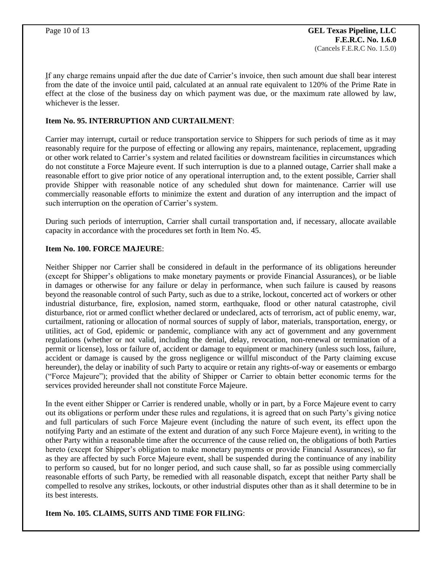If any charge remains unpaid after the due date of Carrier's invoice, then such amount due shall bear interest from the date of the invoice until paid, calculated at an annual rate equivalent to 120% of the Prime Rate in effect at the close of the business day on which payment was due, or the maximum rate allowed by law, whichever is the lesser.

# **Item No. 95. INTERRUPTION AND CURTAILMENT**:

Carrier may interrupt, curtail or reduce transportation service to Shippers for such periods of time as it may reasonably require for the purpose of effecting or allowing any repairs, maintenance, replacement, upgrading or other work related to Carrier's system and related facilities or downstream facilities in circumstances which do not constitute a Force Majeure event. If such interruption is due to a planned outage, Carrier shall make a reasonable effort to give prior notice of any operational interruption and, to the extent possible, Carrier shall provide Shipper with reasonable notice of any scheduled shut down for maintenance. Carrier will use commercially reasonable efforts to minimize the extent and duration of any interruption and the impact of such interruption on the operation of Carrier's system.

During such periods of interruption, Carrier shall curtail transportation and, if necessary, allocate available capacity in accordance with the procedures set forth in Item No. 45.

## **Item No. 100. FORCE MAJEURE**:

Neither Shipper nor Carrier shall be considered in default in the performance of its obligations hereunder (except for Shipper's obligations to make monetary payments or provide Financial Assurances), or be liable in damages or otherwise for any failure or delay in performance, when such failure is caused by reasons beyond the reasonable control of such Party, such as due to a strike, lockout, concerted act of workers or other industrial disturbance, fire, explosion, named storm, earthquake, flood or other natural catastrophe, civil disturbance, riot or armed conflict whether declared or undeclared, acts of terrorism, act of public enemy, war, curtailment, rationing or allocation of normal sources of supply of labor, materials, transportation, energy, or utilities, act of God, epidemic or pandemic, compliance with any act of government and any government regulations (whether or not valid, including the denial, delay, revocation, non-renewal or termination of a permit or license), loss or failure of, accident or damage to equipment or machinery (unless such loss, failure, accident or damage is caused by the gross negligence or willful misconduct of the Party claiming excuse hereunder), the delay or inability of such Party to acquire or retain any rights-of-way or easements or embargo ("Force Majeure"); provided that the ability of Shipper or Carrier to obtain better economic terms for the services provided hereunder shall not constitute Force Majeure.

In the event either Shipper or Carrier is rendered unable, wholly or in part, by a Force Majeure event to carry out its obligations or perform under these rules and regulations, it is agreed that on such Party's giving notice and full particulars of such Force Majeure event (including the nature of such event, its effect upon the notifying Party and an estimate of the extent and duration of any such Force Majeure event), in writing to the other Party within a reasonable time after the occurrence of the cause relied on, the obligations of both Parties hereto (except for Shipper's obligation to make monetary payments or provide Financial Assurances), so far as they are affected by such Force Majeure event, shall be suspended during the continuance of any inability to perform so caused, but for no longer period, and such cause shall, so far as possible using commercially reasonable efforts of such Party, be remedied with all reasonable dispatch, except that neither Party shall be compelled to resolve any strikes, lockouts, or other industrial disputes other than as it shall determine to be in its best interests.

## **Item No. 105. CLAIMS, SUITS AND TIME FOR FILING**: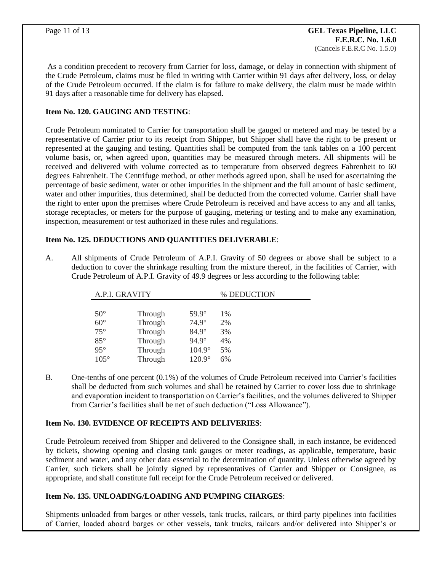As a condition precedent to recovery from Carrier for loss, damage, or delay in connection with shipment of the Crude Petroleum, claims must be filed in writing with Carrier within 91 days after delivery, loss, or delay of the Crude Petroleum occurred. If the claim is for failure to make delivery, the claim must be made within 91 days after a reasonable time for delivery has elapsed.

## **Item No. 120. GAUGING AND TESTING**:

Crude Petroleum nominated to Carrier for transportation shall be gauged or metered and may be tested by a representative of Carrier prior to its receipt from Shipper, but Shipper shall have the right to be present or represented at the gauging and testing. Quantities shall be computed from the tank tables on a 100 percent volume basis, or, when agreed upon, quantities may be measured through meters. All shipments will be received and delivered with volume corrected as to temperature from observed degrees Fahrenheit to 60 degrees Fahrenheit. The Centrifuge method, or other methods agreed upon, shall be used for ascertaining the percentage of basic sediment, water or other impurities in the shipment and the full amount of basic sediment, water and other impurities, thus determined, shall be deducted from the corrected volume. Carrier shall have the right to enter upon the premises where Crude Petroleum is received and have access to any and all tanks, storage receptacles, or meters for the purpose of gauging, metering or testing and to make any examination, inspection, measurement or test authorized in these rules and regulations.

# **Item No. 125. DEDUCTIONS AND QUANTITIES DELIVERABLE**:

A. All shipments of Crude Petroleum of A.P.I. Gravity of 50 degrees or above shall be subject to a deduction to cover the shrinkage resulting from the mixture thereof, in the facilities of Carrier, with Crude Petroleum of A.P.I. Gravity of 49.9 degrees or less according to the following table:

| A.P.I. GRAVITY |         | % DEDUCTION   |       |
|----------------|---------|---------------|-------|
|                |         |               |       |
| $50^{\circ}$   | Through | $59.9^\circ$  | $1\%$ |
| $60^\circ$     | Through | $74.9^\circ$  | 2%    |
| $75^\circ$     | Through | $84.9^\circ$  | 3%    |
| $85^\circ$     | Through | $94.9^\circ$  | 4%    |
| $95^\circ$     | Through | $104.9^\circ$ | 5%    |
| $105^\circ$    | Through | $120.9^\circ$ | 6%    |

B. One-tenths of one percent (0.1%) of the volumes of Crude Petroleum received into Carrier's facilities shall be deducted from such volumes and shall be retained by Carrier to cover loss due to shrinkage and evaporation incident to transportation on Carrier's facilities, and the volumes delivered to Shipper from Carrier's facilities shall be net of such deduction ("Loss Allowance").

# **Item No. 130. EVIDENCE OF RECEIPTS AND DELIVERIES**:

Crude Petroleum received from Shipper and delivered to the Consignee shall, in each instance, be evidenced by tickets, showing opening and closing tank gauges or meter readings, as applicable, temperature, basic sediment and water, and any other data essential to the determination of quantity. Unless otherwise agreed by Carrier, such tickets shall be jointly signed by representatives of Carrier and Shipper or Consignee, as appropriate, and shall constitute full receipt for the Crude Petroleum received or delivered.

# **Item No. 135. UNLOADING/LOADING AND PUMPING CHARGES**:

Shipments unloaded from barges or other vessels, tank trucks, railcars, or third party pipelines into facilities of Carrier, loaded aboard barges or other vessels, tank trucks, railcars and/or delivered into Shipper's or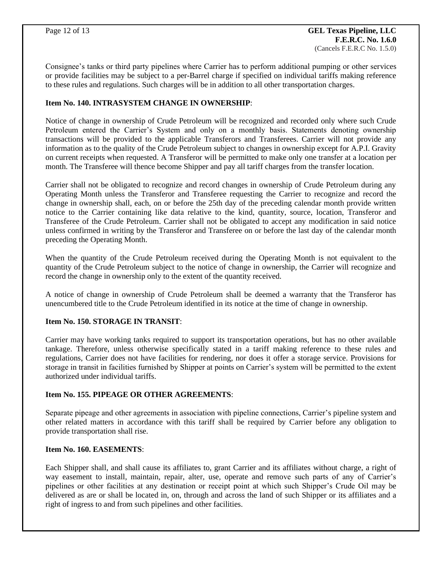Consignee's tanks or third party pipelines where Carrier has to perform additional pumping or other services or provide facilities may be subject to a per-Barrel charge if specified on individual tariffs making reference to these rules and regulations. Such charges will be in addition to all other transportation charges.

# **Item No. 140. INTRASYSTEM CHANGE IN OWNERSHIP**:

Notice of change in ownership of Crude Petroleum will be recognized and recorded only where such Crude Petroleum entered the Carrier's System and only on a monthly basis. Statements denoting ownership transactions will be provided to the applicable Transferors and Transferees. Carrier will not provide any information as to the quality of the Crude Petroleum subject to changes in ownership except for A.P.I. Gravity on current receipts when requested. A Transferor will be permitted to make only one transfer at a location per month. The Transferee will thence become Shipper and pay all tariff charges from the transfer location.

Carrier shall not be obligated to recognize and record changes in ownership of Crude Petroleum during any Operating Month unless the Transferor and Transferee requesting the Carrier to recognize and record the change in ownership shall, each, on or before the 25th day of the preceding calendar month provide written notice to the Carrier containing like data relative to the kind, quantity, source, location, Transferor and Transferee of the Crude Petroleum. Carrier shall not be obligated to accept any modification in said notice unless confirmed in writing by the Transferor and Transferee on or before the last day of the calendar month preceding the Operating Month.

When the quantity of the Crude Petroleum received during the Operating Month is not equivalent to the quantity of the Crude Petroleum subject to the notice of change in ownership, the Carrier will recognize and record the change in ownership only to the extent of the quantity received.

A notice of change in ownership of Crude Petroleum shall be deemed a warranty that the Transferor has unencumbered title to the Crude Petroleum identified in its notice at the time of change in ownership.

## **Item No. 150. STORAGE IN TRANSIT**:

Carrier may have working tanks required to support its transportation operations, but has no other available tankage. Therefore, unless otherwise specifically stated in a tariff making reference to these rules and regulations, Carrier does not have facilities for rendering, nor does it offer a storage service. Provisions for storage in transit in facilities furnished by Shipper at points on Carrier's system will be permitted to the extent authorized under individual tariffs.

## **Item No. 155. PIPEAGE OR OTHER AGREEMENTS**:

Separate pipeage and other agreements in association with pipeline connections, Carrier's pipeline system and other related matters in accordance with this tariff shall be required by Carrier before any obligation to provide transportation shall rise.

## **Item No. 160. EASEMENTS**:

Each Shipper shall, and shall cause its affiliates to, grant Carrier and its affiliates without charge, a right of way easement to install, maintain, repair, alter, use, operate and remove such parts of any of Carrier's pipelines or other facilities at any destination or receipt point at which such Shipper's Crude Oil may be delivered as are or shall be located in, on, through and across the land of such Shipper or its affiliates and a right of ingress to and from such pipelines and other facilities.